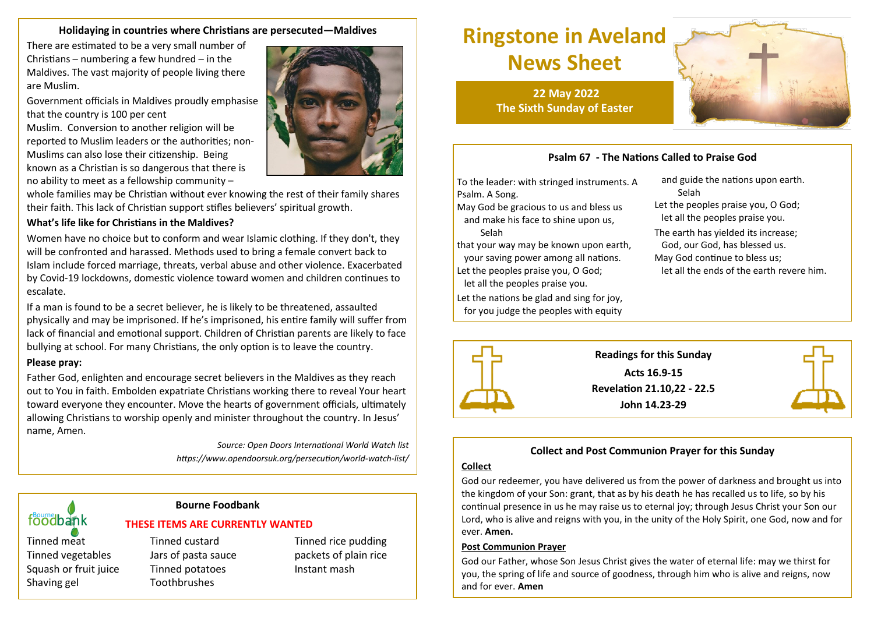#### **Holidaying in countries where Christians are persecuted—Maldives**

There are estimated to be a very small number of Christians – numbering a few hundred – in the Maldives. The vast majority of people living there are Muslim.

Government officials in Maldives proudly emphasise that the country is 100 per cent

Muslim. Conversion to another religion will be reported to Muslim leaders or the authorities; non-Muslims can also lose their citizenship. Being known as a Christian is so dangerous that there is no ability to meet as a fellowship community –

whole families may be Christian without ever knowing the rest of their family shares their faith. This lack of Christian support stifles believers' spiritual growth.

#### **What's life like for Christians in the Maldives?**

Women have no choice but to conform and wear Islamic clothing. If they don't, they will be confronted and harassed. Methods used to bring a female convert back to Islam include forced marriage, threats, verbal abuse and other violence. Exacerbated by Covid-19 lockdowns, domestic violence toward women and children continues to escalate.

If a man is found to be a secret believer, he is likely to be threatened, assaulted physically and may be imprisoned. If he's imprisoned, his entire family will suffer from lack of financial and emotional support. Children of Christian parents are likely to face bullying at school. For many Christians, the only option is to leave the country.

#### **Please pray:**

Father God, enlighten and encourage secret believers in the Maldives as they reach out to You in faith. Embolden expatriate Christians working there to reveal Your heart toward everyone they encounter. Move the hearts of government officials, ultimately allowing Christians to worship openly and minister throughout the country. In Jesus' name, Amen.

> *Source: Open Doors International World Watch list https://www.opendoorsuk.org/persecution/world-watch-list/*

#### **Bourne Foodbank**

#### **THESE ITEMS ARE CURRENTLY WANTED**

Tinned vegetables Jars of pasta sauce packets of plain rice Squash or fruit juice Tinned potatoes Instant mash Shaving gel Toothbrushes

foodbank

Tinned meat Tinned custard Tinned Tinned rice pudding

# **Ringstone in Aveland News Sheet**

**22 May 2022 The Sixth Sunday of Easter**

## **Psalm 67 - The Nations Called to Praise God**

To the leader: with stringed instruments. A Psalm. A Song.

May God be gracious to us and bless us and make his face to shine upon us, Selah

that your way may be known upon earth, your saving power among all nations. Let the peoples praise you, O God;

 let all the peoples praise you. Let the nations be glad and sing for joy,

for you judge the peoples with equity

 and guide the nations upon earth. Selah Let the peoples praise you, O God; let all the peoples praise you.

The earth has yielded its increase;

God, our God, has blessed us.

May God continue to bless us;

let all the ends of the earth revere him.



## **Collect and Post Communion Prayer for this Sunday**

#### **Collect**

God our redeemer, you have delivered us from the power of darkness and brought us into the kingdom of your Son: grant, that as by his death he has recalled us to life, so by his continual presence in us he may raise us to eternal joy; through Jesus Christ your Son our Lord, who is alive and reigns with you, in the unity of the Holy Spirit, one God, now and for ever. **Amen.**

#### **Post Communion Prayer**

God our Father, whose Son Jesus Christ gives the water of eternal life: may we thirst for you, the spring of life and source of goodness, through him who is alive and reigns, now and for ever. **Amen**